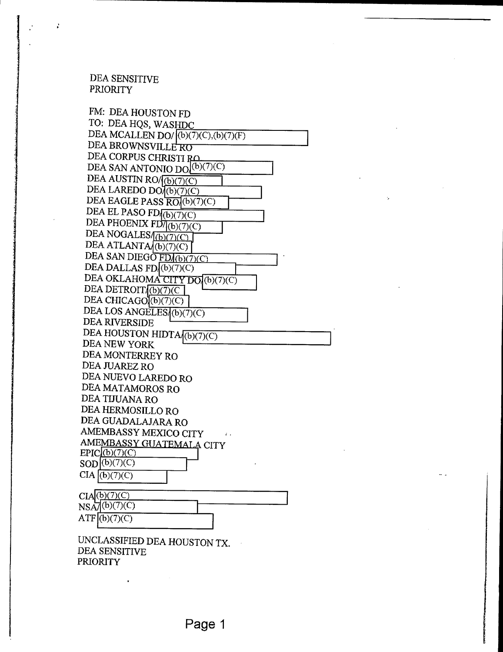### DEA SENSITIVE PRIORITY

 $\mathbf{r}$ 

FM: DEA HOUSTON FD TO: DEA HQS, WASHDC DEA MCALLEN DO/ $($ b $)($ 7 $)($ C $),$ (b $)($ 7 $)($ F $)$ DEA BROWNSVILLERU DEA CORPUS CHRISTI RO DEA SAN ANTONIO DO $(b)(7)(C)$ DEA AUSTIN RO $\sqrt{(b)(7)(C)}$ DEA LAREDO DO $(6)(7)(C)$ DEA EAGLE PASS RO (b)(7)(C) DEA EL PASO FD<sub>((b)(7)(C)</sub> DEA PHOENIX FD/(b)(7)(C) DEA NOGALES<sub>(b)(7)(C)</sub> DEA ATLANTA (b)(7)(C) DEA SAN DIEGO  $FD/(b)(7)(C)$ DEA DALLAS FD(b)(7)(C) DEA OKLAHOMA CITY DO (b)(7)(C) DEA DETROIT $(6)(7)(C)$ DEA CHICAGO $($ b $)(7)(C)$ DEA LOS ANGELES (b)(7)(C) DEA RIVERSIDE DEA HOUSTON HIDTA $\sqrt{(b)(7)(C)}$ DEA NEW YORK DEA MONTERREY RO DEA JUAREZ RO DEA NUEVO LAREDO RO DEA MATAMOROS RO DEA TIJUANA RO DEA HERMOSILLO RO DEA GUADALAJARA RO AMEMBASSY MEXICO CITY  $\mathcal{L}_{\mathcal{A}}$ AMEMBASSY GUATEMALA CITY  $EPIC_{1}(b)(7)(C)$  $SOD(6)(7)(C)$  $CIA$  (b)(7)(C)  $CIA(6)(7)(C)$  $NS\overline{A}$ (b)(7)(C)  $ATF(6)(7)(C)$ UNCLASSIFIED DEA HOUSTON TX.

DEA SENSITIVE PRIORITY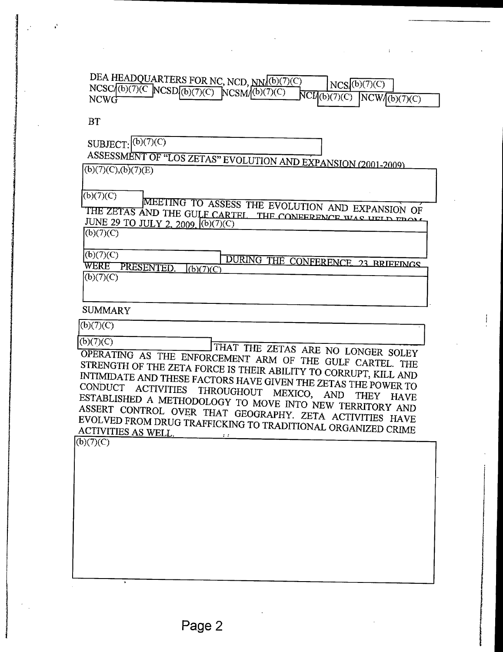| DEA HEADQUARTERS FOR NC, NCD, NN/(b)(7)(C)             | NCS <sub>a</sub> (b)(7)(C)     |
|--------------------------------------------------------|--------------------------------|
| $NCSC/(b)(7)(C) NCSD/(b)(7)(C) NCSM/(b)(7)(C)$<br>NCWG | $NCH(b)(7)(C)$ $NCW/(b)(7)(C)$ |

BT

SUBJECT: (b)(7)(C)<br>ASSESSMENT OF "LOS ZETAS" EVOLUTION AND EXPANSION (2001-2009

 $\overline{(b)(7)(C),(b)(7)(E)}$ 

 $(b)(7)(C)$ 

MEETING TO ASSESS THE EVOLUTION AND EXPANSION OF THE ZETAS AND THE GULF CARTEL THE CO  $\frac{JUNE 29}{(43/7)(C)}$  JULY 2, 2009.  $(0)(7)(C)$ 

 $(b)(7)(C)$ 

 $(b)(7)(C)$ 

 $(b)(7)(C)$ 

DURING THE CONFERENCE, 23 BRIEFINGS WERE PRESENTED.  $(6)(7)(C)$ 

SUMMARY

 $(b)(7)(C)$ <br>(b)(7)(C)

THAT THE ZETAS ARE NO LONGER SOLEY OPERATING AS THE ENFORCEMENT ARM OF THE GULF CARTEL. THE STRENGTH OF THE ZETA FORCE IS THEIR ABILITY TO CORRUPT, KILL AND INTIMIDATE AND THESE FACTORS HAVE GIVEN THE ZETAS THE POWER TO CONDUCT ACTIVITIES THROUGHOUT MEXICO, AND THEY HAVE ESTABLISHED A METHODOLOGY TO MOVE INTO NEW TERRITORY AND ASSERT CONTROL OVER THAT GEOGRAPHY. ZETA ACTIVITIES HAVE EVOLVED FROM DRUG TRAFFICKING TO TRADITIONAL ORGANIZED CRIME ACTIVITIES AS WELL.

 $(b)(7)(C)$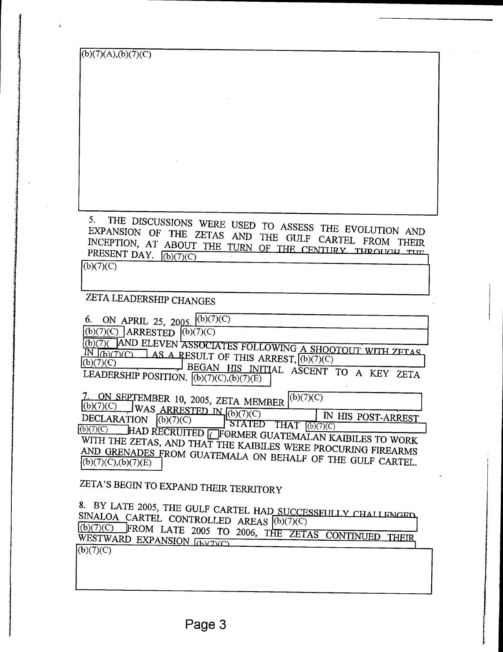| (b)(7)(A),(b)(7)(C)                                                                                                             |
|---------------------------------------------------------------------------------------------------------------------------------|
|                                                                                                                                 |
|                                                                                                                                 |
|                                                                                                                                 |
|                                                                                                                                 |
|                                                                                                                                 |
|                                                                                                                                 |
|                                                                                                                                 |
|                                                                                                                                 |
|                                                                                                                                 |
|                                                                                                                                 |
|                                                                                                                                 |
|                                                                                                                                 |
| 5.                                                                                                                              |
| THE DISCUSSIONS WERE USED TO ASSESS THE EVOLUTION AND                                                                           |
| EXPANSION OF THE ZETAS AND THE GULF CARTEL FROM THEIR                                                                           |
| INCEPTION, AT ABOUT THE TURN OF THE CENTURY THROUGH THE<br>PRESENT DAY. $\sqrt{(b)(7)(C)}$                                      |
| (b)(7)(C)                                                                                                                       |
|                                                                                                                                 |
|                                                                                                                                 |
| ZETA LEADERSHIP CHANGES                                                                                                         |
|                                                                                                                                 |
| 6. ON APRIL 25, 2005. $(6)(7)(C)$<br>$(b)(7)(C)$ ARRESTED $(b)(7)(C)$                                                           |
|                                                                                                                                 |
| (b)(7) AND ELEVEN ASSOCIATES FOLLOWING A SHOOTOUT WITH ZETAS<br>IN $f(b)(7)(C)$ AS A RESULT OF THIS ARREST, $\boxed{(b)(7)(C)}$ |
| (b)(7)(C)                                                                                                                       |
| BEGAN HIS INITIAL ASCENT TO A KEY ZETA<br>LEADERSHIP POSITION. $\overline{(b)}$ (7)(C),(b)(7)(E)                                |
|                                                                                                                                 |
| (b)(7)(C)<br>ON SEPTEMBER 10, 2005, ZETA MEMBER                                                                                 |
| $\overline{(b)}$ (7)(C) WAS ARRESTED IN $\overline{(b)}$ (7)(7)(C)<br>IN HIS POST-ARREST                                        |
| DECLARATION<br>(b)(7)(C)<br>$\overline{\text{STATED} \quad \text{THAT} \quad (b)(7)(C)}}$<br>(b)(7)(C)                          |
| HAD RECRUITED <b>TEORMER GUATEMALAN KAIBILES TO WORK</b>                                                                        |
| WITH THE ZETAS, AND THAT THE KAIBILES WERE PROCURING FIREARMS                                                                   |
| AND GRENADES FROM GUATEMALA ON BEHALF OF THE GULF CARTEL.<br>(b)(7)(C),(b)(7)(E)                                                |
|                                                                                                                                 |
| ZETA'S BEGIN TO EXPAND THEIR TERRITORY                                                                                          |
|                                                                                                                                 |
| 8. BY LATE 2005, THE GULF CARTEL HAD SUCCESSFULLY CHALLENGED                                                                    |
| SINALOA_CARTEL CONTROLLED AREAS (b)(7)(C)                                                                                       |
| (b)(7)(C) FROM LATE 2005 TO 2006, THE ZETAS CONTINUED THEIR,                                                                    |
| WESTWARD EXPANSION [b)(7)(C)<br>(b)(7)(C)                                                                                       |
|                                                                                                                                 |
|                                                                                                                                 |
|                                                                                                                                 |

j.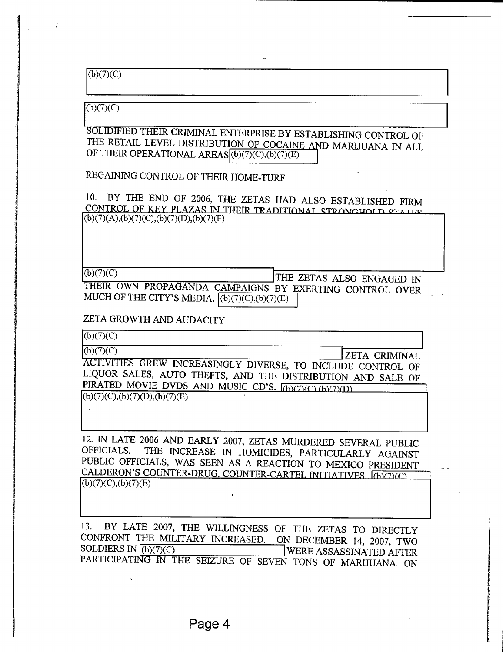$\overline{(b)(7)}(C)$ 

 $(b)(7)(C)$ 

SOLIDIFIED THEIR CRIMINAL ENTERPRISE BY ESTABLISHING CONTROL OF THE RETAIL LEVEL DISTRIBUTION OF COCAINE AND MARIJUANA IN ALL OF THEIR OPERATIONAL AREAS((b)(7)(C),(b)(7)(E)

REGAINING CONTROL OF THEIR HOME-TURF

10. BY THE END OF 2006, THE ZETAS HAD ALSO ESTABLISHED FIRM CONTROL OF KEY PLAZAS IN THEIR TRADITIONAL STRONGHOLD STATES  $(b)(7)(A),(b)(7)(C),(b)(7)(D),(b)(7)(F)$ 

 $(E)(7)(C)$  THE ZETAS ALSO ENGAGED IN

THEIR OWN PROPAGANDA CAMPAIGNS BY EXERTING CONTROL OVER MUCH OF THE CITY'S MEDIA.  $(6)(7)(C)(6)(7)(E)$ 

ZETA GROWTH AND AUDACITY

 $(b)(7)(C)$ (b)(7)(C) ZETA CRIMINAL ACTIVITIES GREW INCREASINGLY DIVERSE, TO INCLUDE CONTROL OF LIQUOR SALES, AUTO THEFTS, AND THE DISTRIBUTION AND SALE OF PIRATED MOVIE DVDS AND MUSIC CD'S. [b)(7)(C)(b)(7)(D)  $(b)(7)(C),(b)(7)(D),(b)(7)(E)$ 

12. IN LATE 2006 AND EARLY 2007, ZETAS MURDERED SEVERAL PUBLIC OFFICIALS. THE INCREASE IN HOMICIDES, PARTICULARLY AGAINST PUBLIC OFFICIALS, WAS SEEN AS A REACTION TO MEXICO PRESIDENT CALDERON'S COUNTER-DRUG, COUNTER-CARTEL INITIATIVES, (h)(7)(C)  $(b)(7)(C),(b)(7)(E)$ 

13. BY LATE 2007, THE WILLINGNESS OF THE ZETAS TO DIRECTLY CONFRONT THE MILITARY INCREASED. ON DECEMBER 14, 2007, TWO<br>SOLDIERS IN (b)(7)(C) UWERE ASSASSINATED AFTER SOLDIERS IN (b)(7)(C) WERE ASSASSINATED AFTER PARTICIPATING IN THE SEIZURE OF SEVEN TONS OF MARIJUANA. ON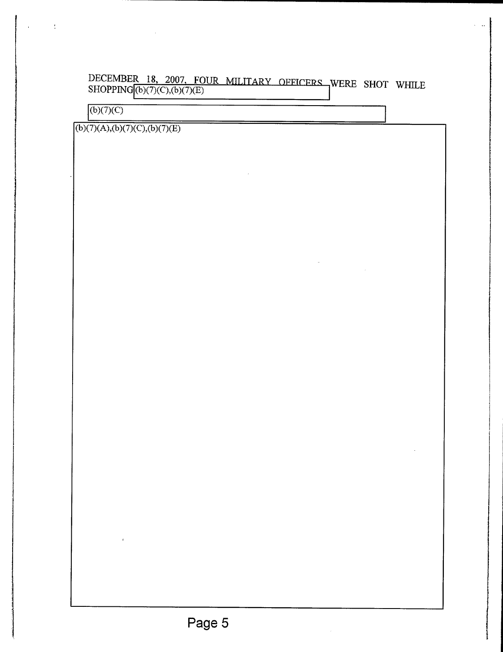## DECEMBER 18, 2007, FOUR MILITARY OFFICERS WERE SHOT WHILE SHOPPING (b)(7)(C),(b)(7)(E)

 $\sigma_{\rm{eff}}$  and  $\sigma_{\rm{eff}}$ 

 $\sqrt{(b)(7)(C)}$ 

 $\sim$  4

 $(b)(7)(A),(b)(7)(C),(b)(7)(E)$ 

 $\bar{t}$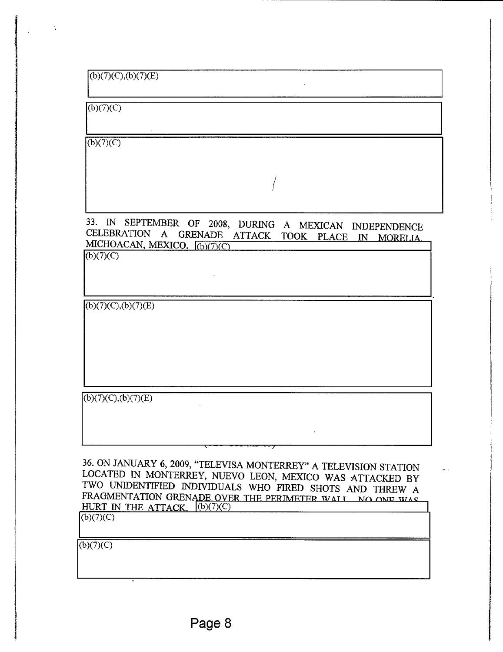$(b)(7)(C)$ 

 $\ddot{\mathbf{v}}$ 

 $\overline{(b)(7)(C)}$ 

33. IN SEPTEMBER OF 2008, DURING A MEXICAN INDEPENDENCE CELEBRATION A GRENADE ATTACK TOOK PLACE IN MORELIA. MICHOACAN, MEXICO.  $(b)(7)(C)$ 

 $(b)(7)(C)$ 

 $\overline{(b)(7)(C),(b)(7)(E)}$ 

 $(b)(7)(C),(b)(7)(E)$ 

36. ON JANUARY 6, 2009, "TELEVISA MONTERREY" A TELEVISION STATION LOCATED IN MONTERREY, NUEVO LEON, MEXICO WAS ATTACKED BY TWO UNIDENTIFIED INDIVIDUALS WHO FIRED SHOTS AND THREW A FRAGMENTATION GRENADE OVER THE PERIMETER WALL NO ONE HURT IN THE ATTACK,  $(6)(7)(C)$  $(b)(7)(C)$ 

 $(b)(7)(C)$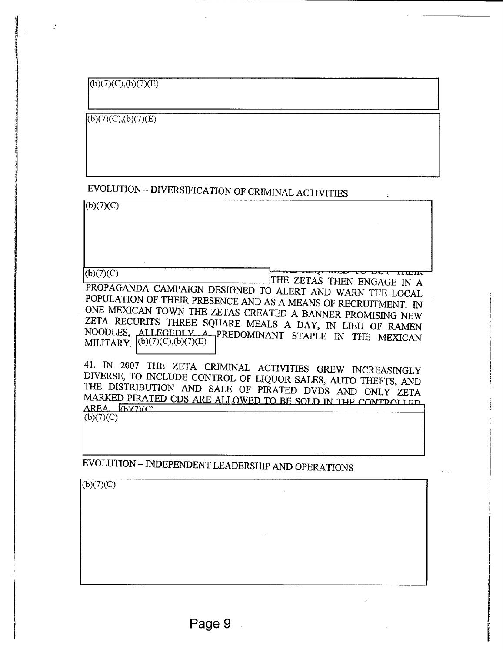$(b)(7)(C), (b)(7)(E)$ 

 $\cdot$ 

 $(b)(7)(C), (b)(7)(E)$ 

# EVOLUTION - DIVERSIFICATION OF CRIMINAL ACTIVITIES

 $(b)(7)(C)$ 

(b)(7)(C) THE ZETAS THEN ENGAGE IN A

PROPAGANDA CAMPAIGN DESIGNED TO ALERT AND WARN THE LOCAL POPULATION OF THEIR PRESENCE AND AS A MEANS OF RECRUITMENT. IN ONE MEXICAN TOWN THE ZETAS CREATED A BANNER PROMISING NEW ZETA RECURITS THREE SQUARE MEALS A DAY, IN LIEU OF RAMEN NOODLES, ALLEGEDLY A PREDOMINANT STAPLE IN THE MEXICAN MILITARY. (b)(7)(C),(b)(7)(E)

41. IN 2007 THE ZETA CRIMINAL ACTIVITIES GREW INCREASINGLY DIVERSE, TO INCLUDE CONTROL OF LIQUOR SALES, AUTO THEFTS, AND THE DISTRIBUTION AND SALE OF PIRATED DVDS AND ONLY ZETA MARKED PIRATED CDS ARE ALLOWED TO BE SOLD IN THE CONTROLLED  $AREA.$   $(b)(7)(C)$  $(b)(7)(C)$ 

EVOLUTION - INDEPENDENT LEADERSHIP AND OPERATIONS

 $(b)(7)(C)$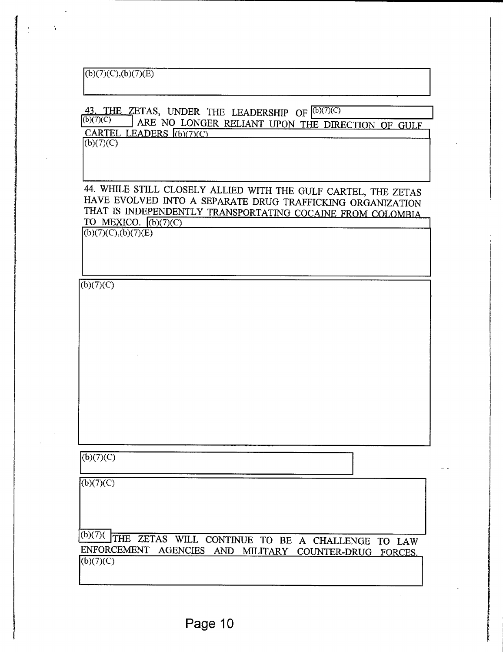## $(b)(7)(C),(b)(7)(E)$

#### 43. THE ZETAS, UNDER THE LEADERSHIP OF  $(6)(7)(C)$  $(b)(7)(C)$ ARE NO LONGER RELIANT UPON THE DIRECTION OF GULF CARTEL LEADERS (b)(7)(C)

I

 $(b)(7)(C)$ 

 $\ddot{\phantom{a}}$ 

44. WHILE STILL CLOSELY ALLIED WITH THE GULF CARTEL, THE ZETAS HAVE EVOLVED INTO A SEPARATE DRUG TRAFFICKING ORGANIZATION THAT IS INDEPENDENTLY TRANSPORTATING COCAINE FROM COLOMBIA TO MEXICO.  $\sqrt{(b)(7)}$ (C)

 $(6)(7)(C),(b)(7)(E)$ 

 $(6)(7)(C)$ 

 $(b)(7)(C)$ 

 $(b)(7)(C)$ 

Cb)(7)( THE ZETAS WILL CONTINUE TO BE A CHALLENGE TO LAW ENFORCEMENT AGENCIES AND MILITARY COUNTER-DRUG FORCES  $(b)(7)(C)$